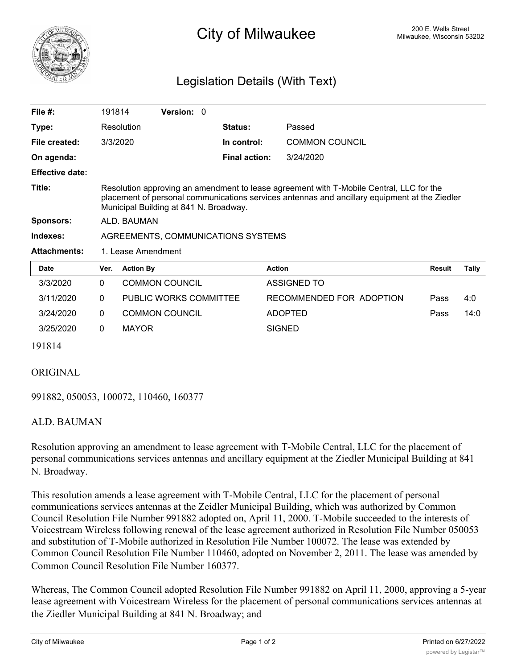

## <sup>200 E. Wells Street</sup><br><sup>200</sup> E. Wells Street Milwaukee, Wisconsin 53202

## Legislation Details (With Text)

| File $#$ :             | 191814                                                                                                                                                                                                                             |                  | <b>Version: 0</b>      |  |                      |                          |        |       |
|------------------------|------------------------------------------------------------------------------------------------------------------------------------------------------------------------------------------------------------------------------------|------------------|------------------------|--|----------------------|--------------------------|--------|-------|
| Type:                  |                                                                                                                                                                                                                                    | Resolution       |                        |  | <b>Status:</b>       | Passed                   |        |       |
| File created:          |                                                                                                                                                                                                                                    | 3/3/2020         |                        |  | In control:          | <b>COMMON COUNCIL</b>    |        |       |
| On agenda:             |                                                                                                                                                                                                                                    |                  |                        |  | <b>Final action:</b> | 3/24/2020                |        |       |
| <b>Effective date:</b> |                                                                                                                                                                                                                                    |                  |                        |  |                      |                          |        |       |
| Title:                 | Resolution approving an amendment to lease agreement with T-Mobile Central, LLC for the<br>placement of personal communications services antennas and ancillary equipment at the Ziedler<br>Municipal Building at 841 N. Broadway. |                  |                        |  |                      |                          |        |       |
| <b>Sponsors:</b>       | ALD. BAUMAN                                                                                                                                                                                                                        |                  |                        |  |                      |                          |        |       |
| Indexes:               | AGREEMENTS, COMMUNICATIONS SYSTEMS                                                                                                                                                                                                 |                  |                        |  |                      |                          |        |       |
| <b>Attachments:</b>    | 1. Lease Amendment                                                                                                                                                                                                                 |                  |                        |  |                      |                          |        |       |
| Date                   | Ver.                                                                                                                                                                                                                               | <b>Action By</b> |                        |  |                      | <b>Action</b>            | Result | Tally |
| 3/3/2020               | $\Omega$                                                                                                                                                                                                                           |                  | <b>COMMON COUNCIL</b>  |  |                      | ASSIGNED TO              |        |       |
| 3/11/2020              | $\mathbf{0}$                                                                                                                                                                                                                       |                  | PUBLIC WORKS COMMITTEE |  |                      | RECOMMENDED FOR ADOPTION | Pass   | 4:0   |
| 3/24/2020              | 0                                                                                                                                                                                                                                  |                  | <b>COMMON COUNCIL</b>  |  |                      | <b>ADOPTED</b>           | Pass   | 14:0  |

191814

## ORIGINAL

991882, 050053, 100072, 110460, 160377

3/25/2020 0 MAYOR SIGNED

## ALD. BAUMAN

Resolution approving an amendment to lease agreement with T-Mobile Central, LLC for the placement of personal communications services antennas and ancillary equipment at the Ziedler Municipal Building at 841 N. Broadway.

This resolution amends a lease agreement with T-Mobile Central, LLC for the placement of personal communications services antennas at the Zeidler Municipal Building, which was authorized by Common Council Resolution File Number 991882 adopted on, April 11, 2000. T-Mobile succeeded to the interests of Voicestream Wireless following renewal of the lease agreement authorized in Resolution File Number 050053 and substitution of T-Mobile authorized in Resolution File Number 100072. The lease was extended by Common Council Resolution File Number 110460, adopted on November 2, 2011. The lease was amended by Common Council Resolution File Number 160377.

Whereas, The Common Council adopted Resolution File Number 991882 on April 11, 2000, approving a 5-year lease agreement with Voicestream Wireless for the placement of personal communications services antennas at the Ziedler Municipal Building at 841 N. Broadway; and